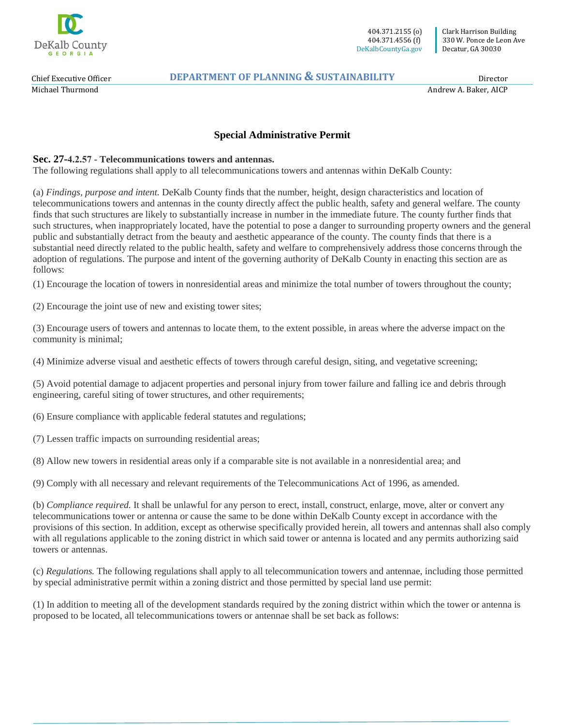

Chief Executive Officer Michael Thurmond

### **DEPARTMENT OF PLANNING & SUSTAINABILITY**

Director

Andrew A. Baker, AICP

# **Special Administrative Permit**

#### **Sec. 27-4.2.57 - Telecommunications towers and antennas.**

The following regulations shall apply to all telecommunications towers and antennas within DeKalb County:

(a) *Findings, purpose and intent.* DeKalb County finds that the number, height, design characteristics and location of telecommunications towers and antennas in the county directly affect the public health, safety and general welfare. The county finds that such structures are likely to substantially increase in number in the immediate future. The county further finds that such structures, when inappropriately located, have the potential to pose a danger to surrounding property owners and the general public and substantially detract from the beauty and aesthetic appearance of the county. The county finds that there is a substantial need directly related to the public health, safety and welfare to comprehensively address those concerns through the adoption of regulations. The purpose and intent of the governing authority of DeKalb County in enacting this section are as follows:

(1) Encourage the location of towers in nonresidential areas and minimize the total number of towers throughout the county;

(2) Encourage the joint use of new and existing tower sites;

(3) Encourage users of towers and antennas to locate them, to the extent possible, in areas where the adverse impact on the community is minimal;

(4) Minimize adverse visual and aesthetic effects of towers through careful design, siting, and vegetative screening;

(5) Avoid potential damage to adjacent properties and personal injury from tower failure and falling ice and debris through engineering, careful siting of tower structures, and other requirements;

(6) Ensure compliance with applicable federal statutes and regulations;

(7) Lessen traffic impacts on surrounding residential areas;

(8) Allow new towers in residential areas only if a comparable site is not available in a nonresidential area; and

(9) Comply with all necessary and relevant requirements of the Telecommunications Act of 1996, as amended.

(b) *Compliance required.* It shall be unlawful for any person to erect, install, construct, enlarge, move, alter or convert any telecommunications tower or antenna or cause the same to be done within DeKalb County except in accordance with the provisions of this section. In addition, except as otherwise specifically provided herein, all towers and antennas shall also comply with all regulations applicable to the zoning district in which said tower or antenna is located and any permits authorizing said towers or antennas.

(c) *Regulations.* The following regulations shall apply to all telecommunication towers and antennae, including those permitted by special administrative permit within a zoning district and those permitted by special land use permit:

(1) In addition to meeting all of the development standards required by the zoning district within which the tower or antenna is proposed to be located, all telecommunications towers or antennae shall be set back as follows: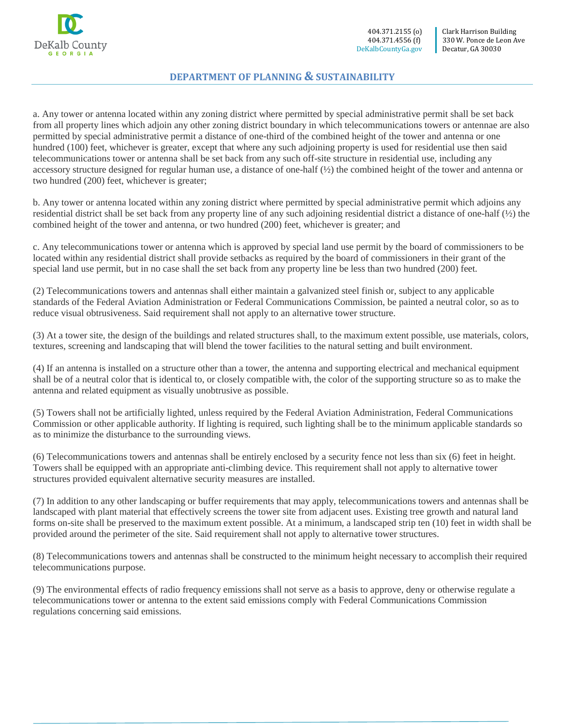

#### **DEPARTMENT OF PLANNING & SUSTAINABILITY**

a. Any tower or antenna located within any zoning district where permitted by special administrative permit shall be set back from all property lines which adjoin any other zoning district boundary in which telecommunications towers or antennae are also permitted by special administrative permit a distance of one-third of the combined height of the tower and antenna or one hundred (100) feet, whichever is greater, except that where any such adjoining property is used for residential use then said telecommunications tower or antenna shall be set back from any such off-site structure in residential use, including any accessory structure designed for regular human use, a distance of one-half (½) the combined height of the tower and antenna or two hundred (200) feet, whichever is greater;

b. Any tower or antenna located within any zoning district where permitted by special administrative permit which adjoins any residential district shall be set back from any property line of any such adjoining residential district a distance of one-half (½) the combined height of the tower and antenna, or two hundred (200) feet, whichever is greater; and

c. Any telecommunications tower or antenna which is approved by special land use permit by the board of commissioners to be located within any residential district shall provide setbacks as required by the board of commissioners in their grant of the special land use permit, but in no case shall the set back from any property line be less than two hundred (200) feet.

(2) Telecommunications towers and antennas shall either maintain a galvanized steel finish or, subject to any applicable standards of the Federal Aviation Administration or Federal Communications Commission, be painted a neutral color, so as to reduce visual obtrusiveness. Said requirement shall not apply to an alternative tower structure.

(3) At a tower site, the design of the buildings and related structures shall, to the maximum extent possible, use materials, colors, textures, screening and landscaping that will blend the tower facilities to the natural setting and built environment.

(4) If an antenna is installed on a structure other than a tower, the antenna and supporting electrical and mechanical equipment shall be of a neutral color that is identical to, or closely compatible with, the color of the supporting structure so as to make the antenna and related equipment as visually unobtrusive as possible.

(5) Towers shall not be artificially lighted, unless required by the Federal Aviation Administration, Federal Communications Commission or other applicable authority. If lighting is required, such lighting shall be to the minimum applicable standards so as to minimize the disturbance to the surrounding views.

(6) Telecommunications towers and antennas shall be entirely enclosed by a security fence not less than six (6) feet in height. Towers shall be equipped with an appropriate anti-climbing device. This requirement shall not apply to alternative tower structures provided equivalent alternative security measures are installed.

(7) In addition to any other landscaping or buffer requirements that may apply, telecommunications towers and antennas shall be landscaped with plant material that effectively screens the tower site from adjacent uses. Existing tree growth and natural land forms on-site shall be preserved to the maximum extent possible. At a minimum, a landscaped strip ten (10) feet in width shall be provided around the perimeter of the site. Said requirement shall not apply to alternative tower structures.

(8) Telecommunications towers and antennas shall be constructed to the minimum height necessary to accomplish their required telecommunications purpose.

(9) The environmental effects of radio frequency emissions shall not serve as a basis to approve, deny or otherwise regulate a telecommunications tower or antenna to the extent said emissions comply with Federal Communications Commission regulations concerning said emissions.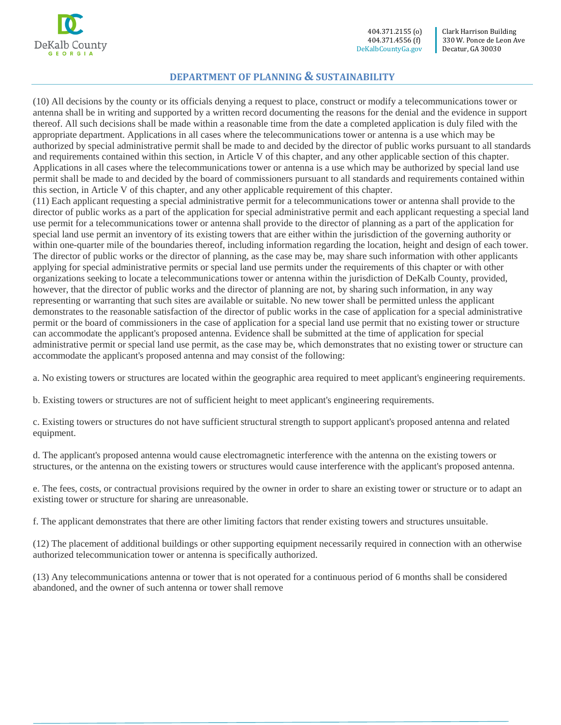

 404.371.2155 (o) 404.371.4556 (f) DeKalbCountyGa.gov

### **DEPARTMENT OF PLANNING & SUSTAINABILITY**

(10) All decisions by the county or its officials denying a request to place, construct or modify a telecommunications tower or antenna shall be in writing and supported by a written record documenting the reasons for the denial and the evidence in support thereof. All such decisions shall be made within a reasonable time from the date a completed application is duly filed with the appropriate department. Applications in all cases where the telecommunications tower or antenna is a use which may be authorized by special administrative permit shall be made to and decided by the director of public works pursuant to all standards and requirements contained within this section, in Article V of this chapter, and any other applicable section of this chapter. Applications in all cases where the telecommunications tower or antenna is a use which may be authorized by special land use permit shall be made to and decided by the board of commissioners pursuant to all standards and requirements contained within this section, in Article V of this chapter, and any other applicable requirement of this chapter.

(11) Each applicant requesting a special administrative permit for a telecommunications tower or antenna shall provide to the director of public works as a part of the application for special administrative permit and each applicant requesting a special land use permit for a telecommunications tower or antenna shall provide to the director of planning as a part of the application for special land use permit an inventory of its existing towers that are either within the jurisdiction of the governing authority or within one-quarter mile of the boundaries thereof, including information regarding the location, height and design of each tower. The director of public works or the director of planning, as the case may be, may share such information with other applicants applying for special administrative permits or special land use permits under the requirements of this chapter or with other organizations seeking to locate a telecommunications tower or antenna within the jurisdiction of DeKalb County, provided, however, that the director of public works and the director of planning are not, by sharing such information, in any way representing or warranting that such sites are available or suitable. No new tower shall be permitted unless the applicant demonstrates to the reasonable satisfaction of the director of public works in the case of application for a special administrative permit or the board of commissioners in the case of application for a special land use permit that no existing tower or structure can accommodate the applicant's proposed antenna. Evidence shall be submitted at the time of application for special administrative permit or special land use permit, as the case may be, which demonstrates that no existing tower or structure can accommodate the applicant's proposed antenna and may consist of the following:

a. No existing towers or structures are located within the geographic area required to meet applicant's engineering requirements.

b. Existing towers or structures are not of sufficient height to meet applicant's engineering requirements.

c. Existing towers or structures do not have sufficient structural strength to support applicant's proposed antenna and related equipment.

d. The applicant's proposed antenna would cause electromagnetic interference with the antenna on the existing towers or structures, or the antenna on the existing towers or structures would cause interference with the applicant's proposed antenna.

e. The fees, costs, or contractual provisions required by the owner in order to share an existing tower or structure or to adapt an existing tower or structure for sharing are unreasonable.

f. The applicant demonstrates that there are other limiting factors that render existing towers and structures unsuitable.

(12) The placement of additional buildings or other supporting equipment necessarily required in connection with an otherwise authorized telecommunication tower or antenna is specifically authorized.

(13) Any telecommunications antenna or tower that is not operated for a continuous period of 6 months shall be considered abandoned, and the owner of such antenna or tower shall remove